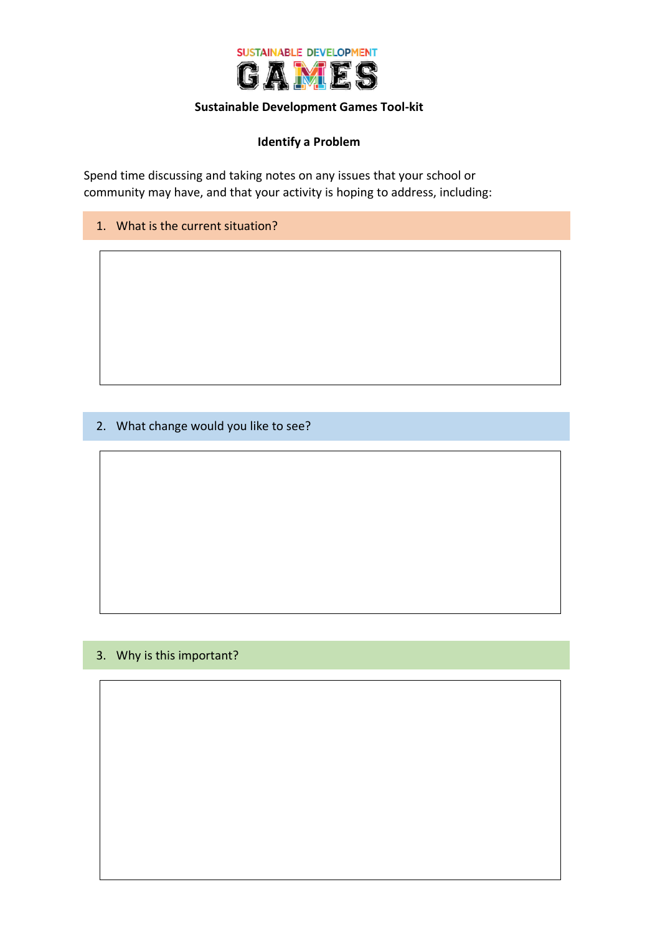

#### **Sustainable Development Games Tool-kit**

### **Identify a Problem**

Spend time discussing and taking notes on any issues that your school or community may have, and that your activity is hoping to address, including:

1. What is the current situation?

2. What change would you like to see?

#### 3. Why is this important?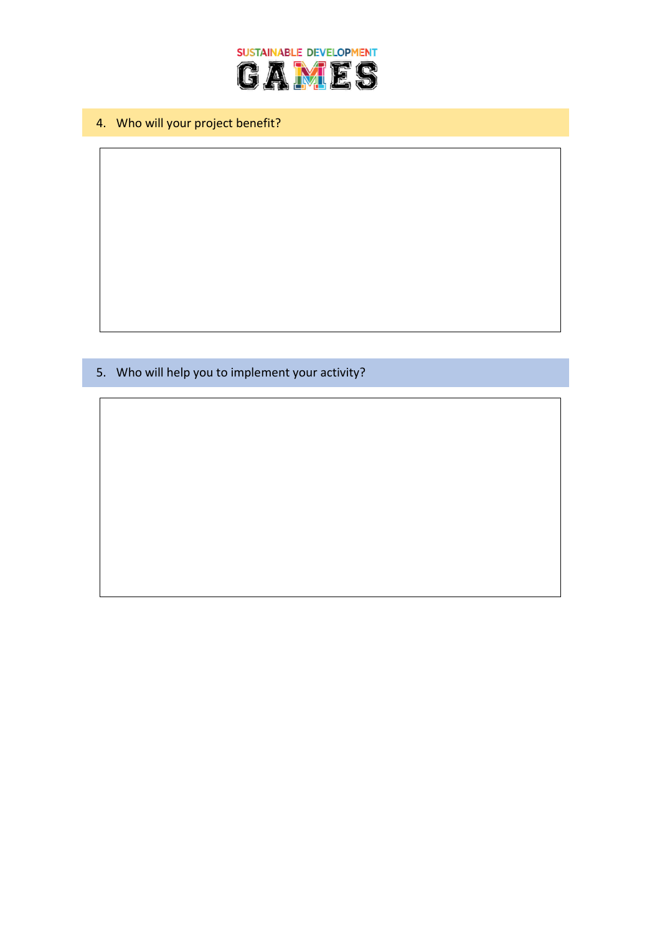

4. Who will your project benefit?

5. Who will help you to implement your activity?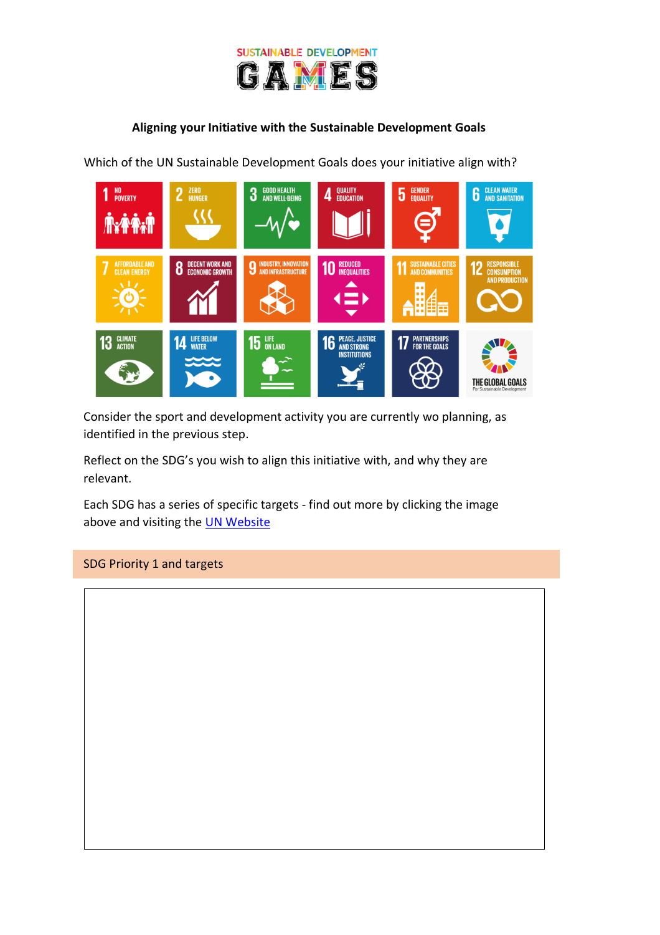

### **Aligning your Initiative with the Sustainable Development Goals**

Which of the UN Sustainable Development Goals does your initiative align with?



Consider the sport and development activity you are currently wo planning, as identified in the previous step.

Reflect on the SDG's you wish to align this initiative with, and why they are relevant.

Each SDG has a series of specific targets - find out more by clicking the image above and visiting the [UN Website](https://www.un.org/sustainabledevelopment/sustainable-development-goals/)

#### SDG Priority 1 and targets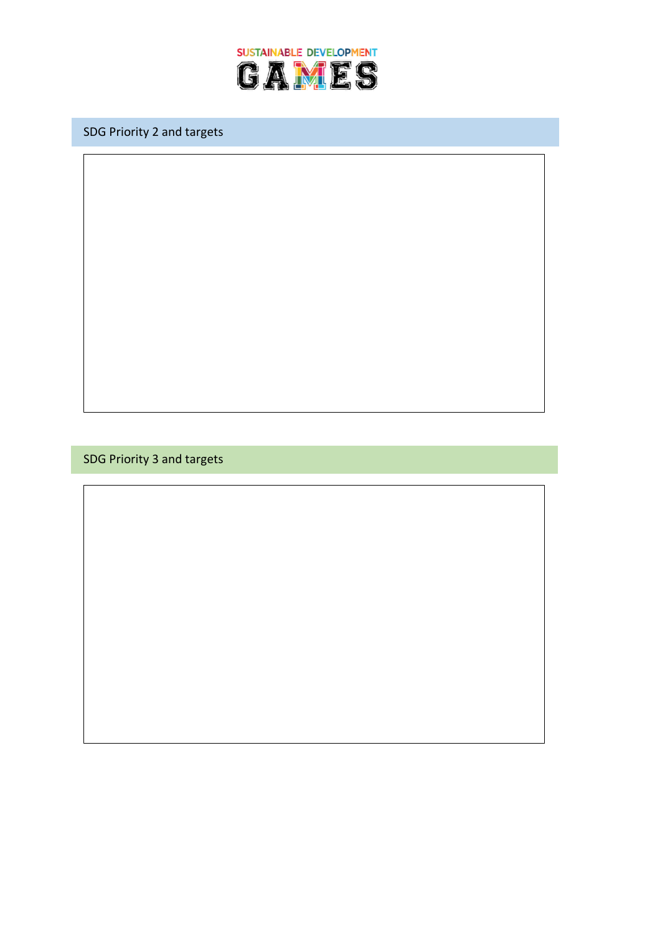

SDG Priority 2 and targets

SDG Priority 3 and targets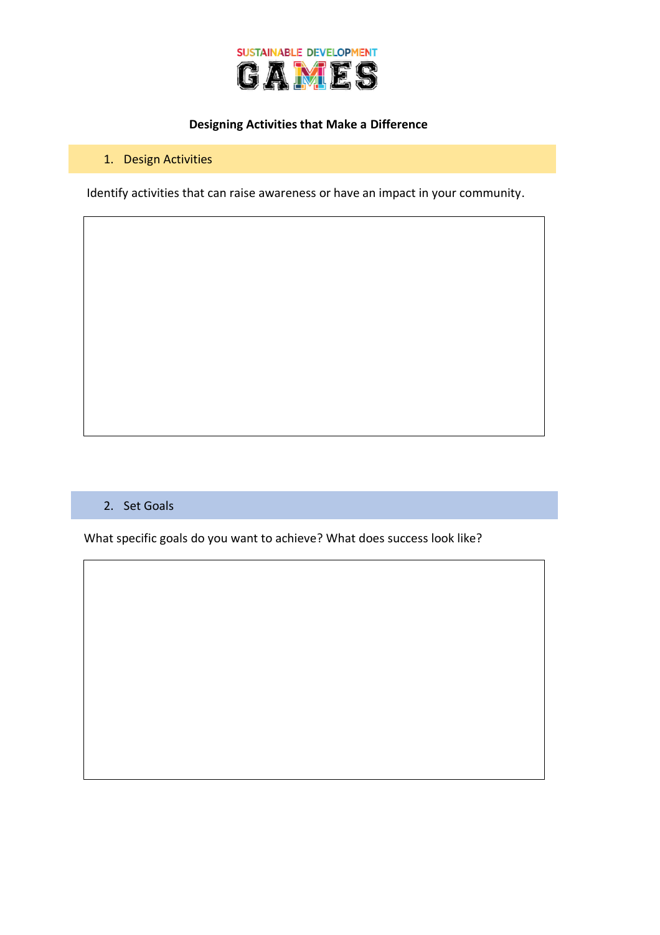

### **Designing Activities that Make a Difference**

### 1. Design Activities

Identify activities that can raise awareness or have an impact in your community.

#### 2. Set Goals

What specific goals do you want to achieve? What does success look like?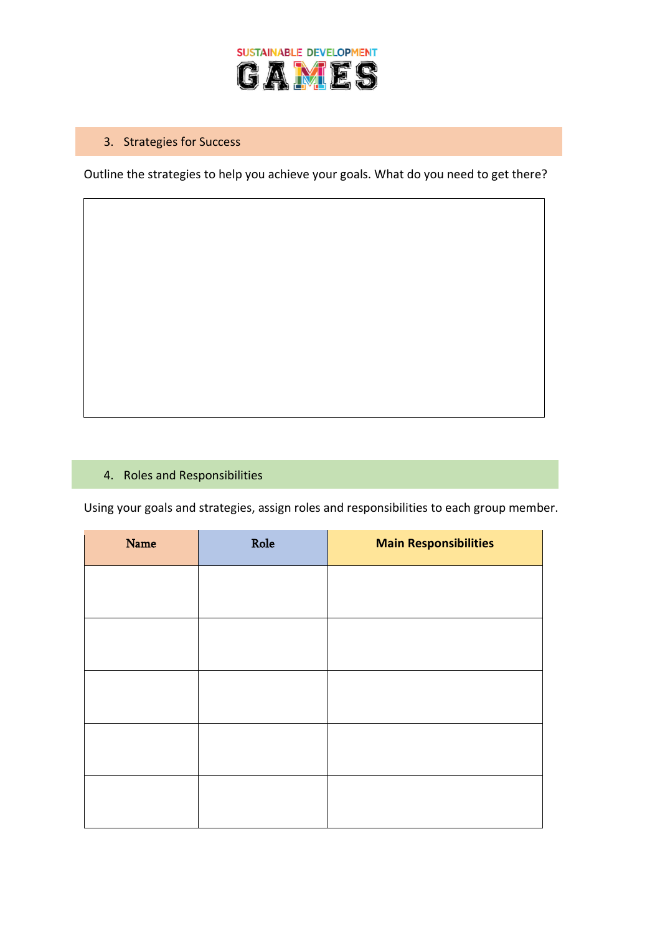

# 3. Strategies for Success

Outline the strategies to help you achieve your goals. What do you need to get there?

### 4. Roles and Responsibilities

Using your goals and strategies, assign roles and responsibilities to each group member.

| Name | Role | <b>Main Responsibilities</b> |
|------|------|------------------------------|
|      |      |                              |
|      |      |                              |
|      |      |                              |
|      |      |                              |
|      |      |                              |
|      |      |                              |
|      |      |                              |
|      |      |                              |